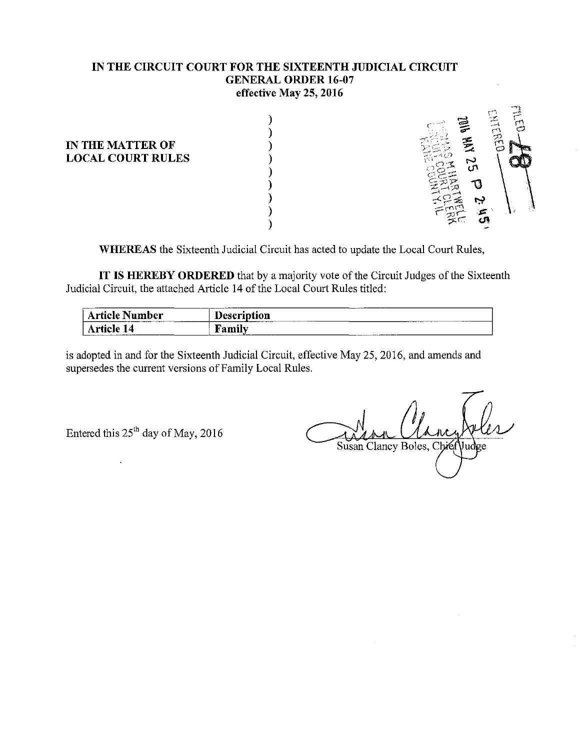#### **IN THE CIRCUIT COURT FOR THE SIXTEENTH JUDICIAL CIRCUIT GENERAL ORDER 16-07 effective May 25, 2016**

) ) ) ) ) ) ) ) )

**IN THE MATTER OF LOCAL COURT RULES** 



**WHEREAS** the Sixteenth Judicial Circuit has acted to update the Local Court Rules,

**IT HEREBY ORDERED** that by a majority vote of the Circuit Judges of the Sixteenth Judicial Circuit, the attached Article 14 of the Local Court Rules titled:

| ----<br>' Article l<br>. Number | _______<br>т.<br>Description<br>-------- |
|---------------------------------|------------------------------------------|
| rticle :<br>۰4                  | ъ<br>- 7<br>.<br>. аши                   |

is adopted in and for the Sixteenth Judicial Circuit, effective May 25, 2016, and amends and supersedes the current versions of Family Local Rules.

Entered this  $25<sup>th</sup>$  day of May, 2016

Susan Clancy Boles, Chie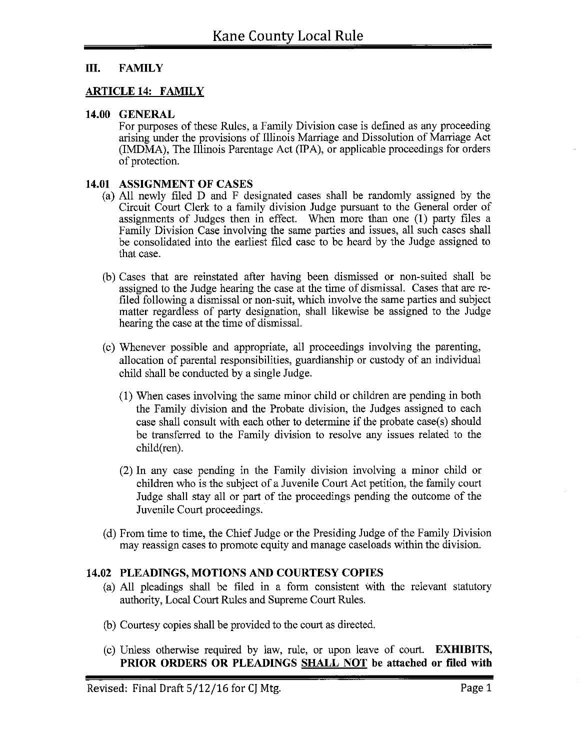### **III. FAMILY**

#### **ARTICLE 14: FAMILY**

#### **14.00 GENERAL**

For purposes of these Rules, a Family Division case is defined as any proceeding arising under the provisions of Illinois Marriage and Dissolution of Marriage Act (IMDMA), The Illinois Parentage Act (IPA), or applicable proceedings for orders of protection.

#### **14.01 ASSIGNMENT OF CASES**

- (a) All newly filed D and F designated cases shall be randomly assigned by the Circuit Court Clerk to a family division Judge pursuant to the General order of assigmnents of Judges then in effect. When more than one (1) party files a Family Division Case involving the same parties and issues, all such cases shall be consolidated into the earliest filed case to be heard by the Judge assigned to that case.
- (b) Cases that are reinstated after having been dismissed or non-suited shall be assigned to the Judge hearing the case at the time of dismissal. Cases that are refiled following a dismissal or non-suit, which involve the same parties and subject matter regardless of party designation, shall likewise be assigned to the Judge hearing the case at the time of dismissal.
- ( c) Whenever possible and appropriate, all proceedings involving the parenting, allocation of parental responsibilities, guardianship or custody of an individual child shall be conducted by a single Judge.
	- (1) When cases involving the same minor child or children are pending in both the Family division and the Probate division, the Judges assigned to each case shall consult with each other to determine if the probate case(s) should be transferred to the Family division to resolve any issues related to the child(ren).
	- (2) In any case pending in the Family division involving a minor child or children who is the subject of a Juvenile Court Act petition, the family court Judge shall stay all or part of the proceedings pending the outcome of the Juvenile Court proceedings.
- (d) From time to time, the Chief Judge or the Presiding Judge of the Family Division may reassign cases to promote equity and manage caseloads within the division.

#### **14.02 PLEADINGS, MOTIONS AND COURTESY COPIES**

- (a) All pleadings shall be filed in a form consistent with the relevant statutory authority, Local Court Rules and Supreme Court Rules.
- (b) Courtesy copies shall be provided to the court as directed.
- ( c) Unless otherwise required by law, rule, or upon leave of court. **EXHIBITS, PRIOR ORDERS OR PLEADINGS SHALL NOT be attached or filed with**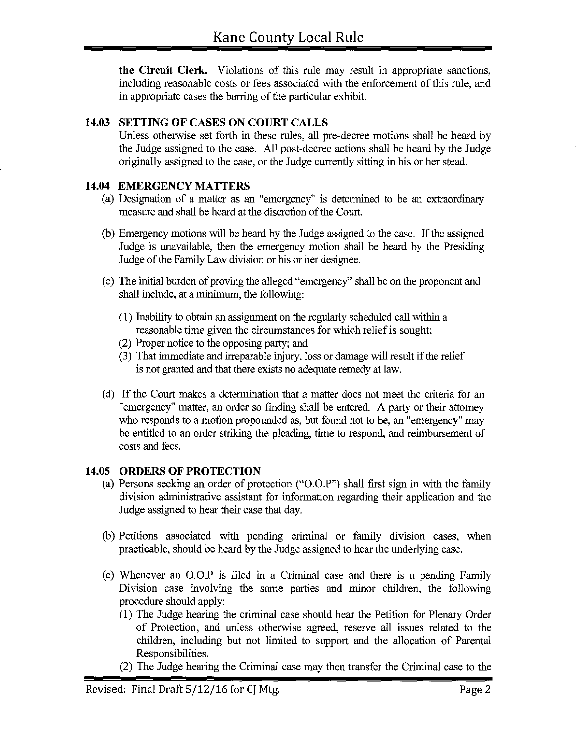**the Circuit Clerk.** Violations of this rule may result in appropriate sanctions, including reasonable costs or fees associated with the enforcement of this rule, and in appropriate cases the barring of the particular exhibit.

### **14.03 SETTING OF CASES ON COURT CALLS**

Unless otherwise set forth in these rules, all pre-decree motions shall be heard by the Judge assigned to the case. All post-decree actions shall be heard by the Judge originally assigned to the case, or the Judge currently sitting in his or her stead.

#### **14.04 EMERGENCY MATTERS**

- (a) Designation of a matter as an "emergency" is determined to be an extraordinary measure and shall be heard at the discretion of the Court.
- (b) Emergency motions will be heard by the Judge assigned to the case. If the assigned Judge is unavailable, then the emergency motion shall be heard by the Presiding Judge of the Family Law division or his or her designee.
- ( c) The initial burden of proving the alleged "emergency" shall be on the proponent and shall include, at a minimum, the following:
	- (I) Inability to obtain an assignment on the regularly scheduled call within a reasonable time given the circumstances for which relief is sought;
	- (2) Proper notice to the opposing party; and
	- (3) That immediate and irreparable injury, loss or damage will result if the relief is not granted and that there exists no adequate remedy at law.
- ( d) If the Court makes a determination that a matter does not meet the criteria for an "emergency" matter, an order so finding shall be entered. A party or their attorney who responds to a motion propounded as, but found not to be, an "emergency" may be entitled to an order striking the pleading, time to respond, and reimbursement of costs and fees.

### **14.05 ORDERS OF PROTECTION**

- (a) Persons seeking an order of protection ("0.0.P") shall first sign in with the family division administrative assistant for information regarding their application and the Judge assigned to hear their case that day.
- (b) Petitions associated with pending criminal or family division cases, when practicable, should be heard by the Judge assigned to hear the underlying case.
- (c) Whenever an 0.0.P is filed in a Criminal case and there is a pending Family Division case involving the same parties and minor children, the following procedure should apply:
	- (I) The Judge hearing the criminal case should hear the Petition for Plenary Order of Protection, and unless otherwise agreed, reserve all issues related to the children, including but not limited to support and the allocation of Parental Responsibilities.
	- (2) The Judge hearing the Criminal case may then transfer the Criminal case to the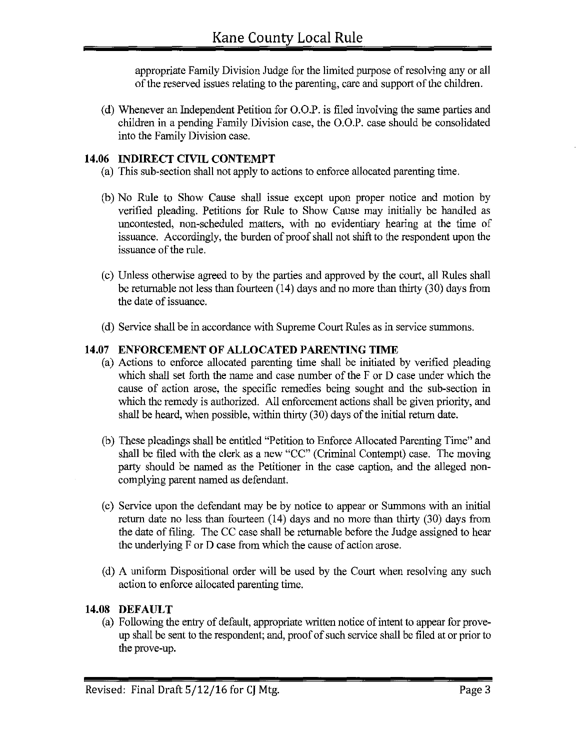appropriate Family Division Judge for the limited purpose of resolving any or all of the reserved issues relating to the parenting, care and support of the children.

(d) Whenever an Independent Petition for 0.0.P. is filed involving the same parties and children in a pending Family Division case, the 0.0.P. case should be consolidated into the Family Division case.

### **14.06 INDIRECT CIVIL CONTEMPT**

- (a) This sub-section shall not apply to actions to enforce allocated parenting time.
- (b) No Rule to Show Cause shall issue except upon proper notice and motion by verified pleading. Petitions for Rule to Show Cause may initially be handled as uncontested, non-scheduled matters, with no evidentiary hearing at the time of issuance. Accordingly, the burden of proof shall not shift to the respondent upon the issuance of the rule.
- (c) Unless otherwise agreed to by the parties and approved by the court, all Rules shall be returnable not less than fourteen (14) days and no more than thirty (30) days from the date of issuance.
- ( d) Service shall be in accordance with Supreme Court Rules as in service summons.

## **14.07 ENFORCEMENT OF ALLOCATED PARENTING TIME**

- (a) Actions to enforce allocated parenting time shall be initiated by verified pleading which shall set forth the name and case number of the F or D case under which the cause of action arose, the specific remedies being sought and the sub-section in which the remedy is authorized. All enforcement actions shall be given priority, and shall be heard, when possible, within thirty (30) days of the initial return date.
- (b) These pleadings shall be entitled "Petition to Enforce Allocated Parenting Time" and shall be filed with the clerk as a new "CC" (Criminal Contempt) case. The moving party should be named as the Petitioner in the case caption, and the alleged noncomplying parent named as defendant.
- ( c) Service upon the defendant may be by notice to appear or Summons with an initial return date no less than fourteen (14) days and no more than thirty (30) days from the date of filing. The CC case shall be returnable before the Judge assigned to hear the underlying F or D case from which the cause of action arose.
- ( d) A uniform Dispositional order will be used by the Court when resolving any such action to enforce allocated parenting time.

## **14.08 DEFAULT**

(a) Following the entry of default, appropriate written notice of intent to appear for proveup shall be sent to the respondent; and, proof of such service shall be filed at or prior to the prove-up.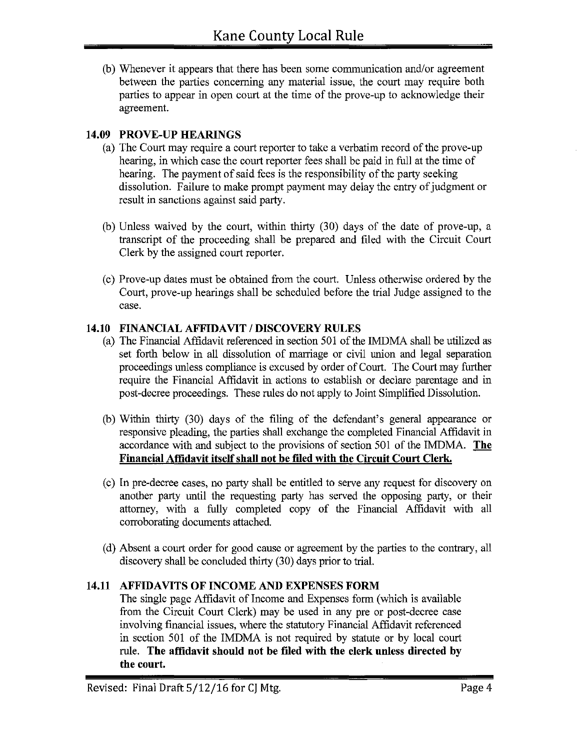(b) Whenever it appears that there has been some communication and/or agreement between the parties concerning any material issue, the court may require both parties to appear in open court at the time of the prove-up to acknowledge their agreement.

## **14.09 PROVE-UP HEARINGS**

- (a) The Court may require a court reporter to take a verbatim record of the prove-up hearing, in which case the court reporter fees shall be paid in full at the time of hearing. The payment of said fees is the responsibility of the party seeking dissolution. Failure to make prompt payment may delay the entry of judgment or result in sanctions against said party.
- (b) Unless waived by the court, within thirty (30) days of the date of prove-up, a transcript of the proceeding shall be prepared and filed with the Circuit Court Clerk by the assigned court reporter.
- (c) Prove-up dates must be obtained from the court. Unless otherwise ordered by the Court, prove-up hearings shall be scheduled before the trial Judge assigned to the case.

## **14.10 FINANCIAL AFFIDAVIT I DISCOVERY RULES**

- (a) The Financial Affidavit referenced in section 501 of the IMDMA shall be utilized as set forth below in all dissolution of marriage or civil union and legal separation proceedings unless compliance is excused by order of Court. The Court may further require the Financial Affidavit in actions to establish or declare parentage and in post-decree proceedings. These rules do not apply to Joint Simplified Dissolution.
- (b) Within thirty (30) days of the filing of the defendant's general appearance or responsive pleading, the parties shall exchange the completed Financial Affidavit in accordance with and subject to the provisions of section 501 of the IMDMA. **The Financial Affidavit itself shall not be filed with the Circuit Court Clerk.**
- ( c) In pre-decree cases, no party shall be entitled to serve any request for discovery on another party until the requesting party has served the opposing party, or their attorney, with a fully completed copy of the Financial Affidavit with all corroborating documents attached.
- ( d) Absent a court order for good cause or agreement by the parties to the contrary, all discovery shall be concluded thirty (30) days prior to trial.

## **14.11 AFFIDAVITS OF INCOME AND EXPENSES FORM**

The single page Affidavit of Income and Expenses form (which is available from the Circuit Court Clerk) may be used in any pre or post-decree case involving financial issues, where the statutory Financial Affidavit referenced in section 501 of the IMDMA is not required by statute or by local court rule. **The affidavit should not be filed with the clerk unless directed by the court.**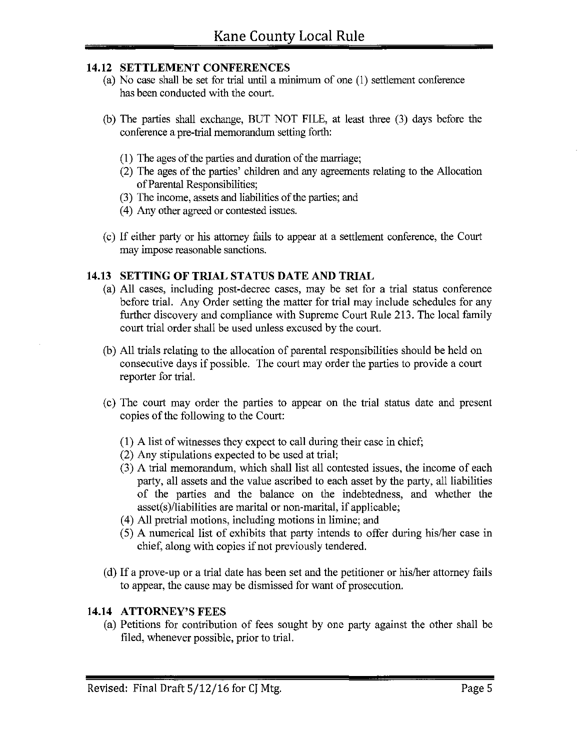### **14.12 SETTLEMENT CONFERENCES**

- (a) No case shall be set for trial until a minimum of one ( 1) settlement conference has been conducted with the court.
- (b) The parties shall exchange, BUT NOT FILE, at least three (3) days before the conference a pre-trial memorandum setting forth:
	- (1) The ages of the parties and duration of the marriage;
	- (2) The ages of the parties' children and any agreements relating to the Allocation of Parental Responsibilities;
	- (3) The income, assets and liabilities of the parties; and
	- ( 4) Any other agreed or contested issues.
- ( c) If either party or his attorney fails to appear at a settlement conference, the Court may impose reasonable sanctions.

### **14.13 SETTING OF TRIAL STATUS DATE AND TRIAL**

- (a) All cases, including post-decree cases, may be set for a trial status conference before trial. Any Order setting the matter for trial may include schedules for any further discovery and compliance with Supreme Court Rule 213. The local family court trial order shall be used unless excused by the court.
- (b) All trials relating to the allocation of parental responsibilities should be held on consecutive days if possible. The court may order the parties to provide a court reporter for trial.
- ( c) The court may order the parties to appear on the trial status date and present copies of the following to the Court:
	- (1) A list of witnesses they expect to call during their case in chief;
	- (2) Any stipulations expected to be used at trial;
	- (3) A trial memorandum, which shall list all contested issues, the income of each party, all assets and the value ascribed to each asset by the party, all liabilities of the parties and the balance on the indebtedness, and whether the asset(s)/liabilities are marital or non-marital, if applicable;
	- ( 4) All pretrial motions, including motions in limine; and
	- ( 5) A numerical list of exhibits that party intends to offer during his/her case in chief, along with copies if not previously tendered.
- (d) If a prove-up or a trial date has been set and the petitioner or his/her attorney fails to appear, the cause may be dismissed for want of prosecution.

### **14.14 ATTORNEY'S FEES**

(a) Petitions for contribution of fees sought by one party against the other shall be filed, whenever possible, prior to trial.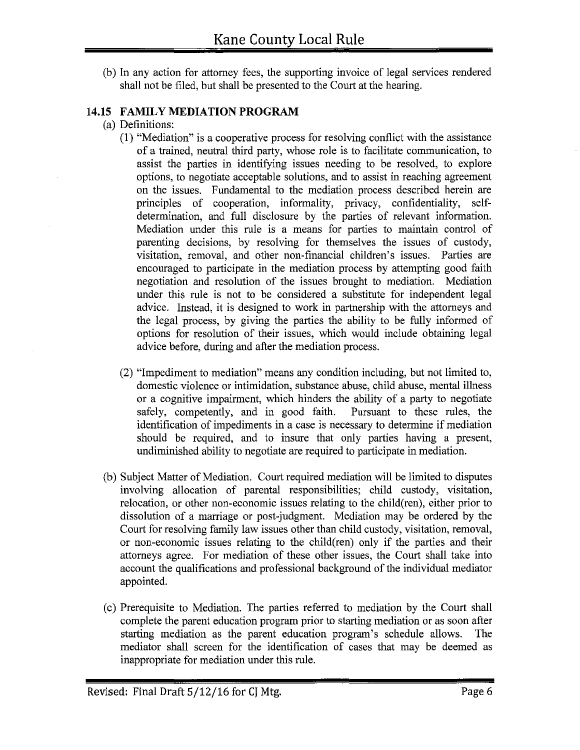(b) In any action for attorney fees, the supporting invoice of legal services rendered shall not be filed, but shall be presented to the Court at the hearing.

### **14.15 FAMILY MEDIATION PROGRAM**

- (a) Definitions:
	- (1) "Mediation" is a cooperative process for resolving conflict with the assistance of a trained, neutral third party, whose role is to facilitate communication, to assist the parties in identifying issues needing to be resolved, to explore options, to negotiate acceptable solutions, and to assist in reaching agreement on the issues. Fundamental to the mediation process described herein are principles of cooperation, informality, privacy, confidentiality, selfdetermination, and full disclosure by the parties of relevant information. Mediation under this rule is a means for parties to maintain control of parenting decisions, by resolving for themselves the issues of custody, visitation, removal, and other non-financial children's issues. Parties are encouraged to participate in the mediation process by attempting good faith negotiation and resolution of the issues brought to mediation. Mediation under this rule is not to be considered a substitute for independent legal advice. Instead, it is designed to work in partnership with the attorneys and the legal process, by giving the parties the ability to be fully informed of options for resolution of their issues, which would include obtaining legal advice before, during and after the mediation process.
	- (2) "Impediment to mediation" means any condition including, but not limited to, domestic violence or intimidation, substance abuse, child abuse, mental illness or a cognitive impairment, which hinders the ability of a party to negotiate safely, competently, and in good faith. Pursuant to these rules, the identification of impediments in a case is necessary to determine if mediation should be required, and to insure that only parties having a present, undiminished ability to negotiate are required to participate in mediation.
- (b) Subject Matter of Mediation. Court required mediation will be limited to disputes involving allocation of parental responsibilities; child custody, visitation, relocation, or other non-economic issues relating to the child(ren), either prior to dissolution of a marriage or post-judgment. Mediation may be ordered by the Court for resolving family law issues other than child custody, visitation, removal, or non-economic issues relating to the child(ren) only if the parties and their attorneys agree. For mediation of these other issues, the Court shall take into account the qualifications and professional background of the individual mediator appointed.
- ( c) Prerequisite to Mediation. The parties referred to mediation by the Court shall complete the parent education program prior to starting mediation or as soon after starting mediation as the parent education program's schedule allows. The mediator shall screen for the identification of cases that may be deemed as inappropriate for mediation under this rule.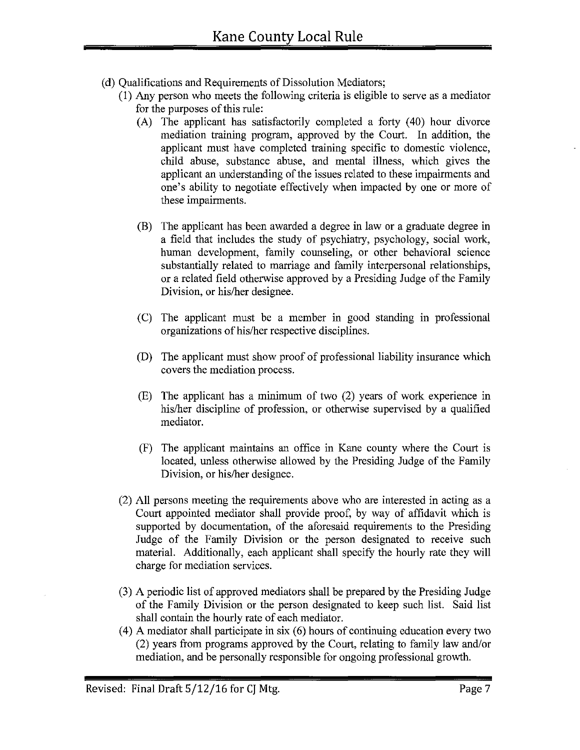- (d) Qualifications and Requirements of Dissolution Mediators;
	- (1) Any person who meets the following criteria is eligible to serve as a mediator for the purposes of this rule:
		- $(A)$  The applicant has satisfactorily completed a forty  $(40)$  hour divorce mediation training program, approved by the Court. In addition, the applicant must have completed training specific to domestic violence, child abuse, substance abuse, and mental illness, which gives the applicant an understanding of the issues related to these impairments and one's ability to negotiate effectively when impacted by one or more of these impairments.
		- (B) The applicant has been awarded a degree in law or a graduate degree in a field that includes the study of psychiatry, psychology, social work, human development, family counseling, or other behavioral science substantially related to marriage and family interpersonal relationships, or a related field otherwise approved by a Presiding Judge of the Family Division, or his/her designee.
		- (C) The applicant must be a member in good standing in professional organizations of his/her respective disciplines.
		- (D) The applicant must show proof of professional liability insurance which covers the mediation process.
		- (E) The applicant has a minimum of two (2) years of work experience in his/her discipline of profession, or otherwise supervised by a qualified mediator.
		- (F) The applicant maintains an office in Kane county where the Court is located, unless otherwise allowed by the Presiding Judge of the Family Division, or his/her designee.
	- (2) All persons meeting the requirements above who are interested in acting as a Court appointed mediator shall provide proof, by way of affidavit which is supported by documentation, of the aforesaid requirements to the Presiding Judge of the Family Division or the person designated to receive such material. Additionally, each applicant shall specify the hourly rate they will charge for mediation services.
	- (3) A periodic list of approved mediators shall be prepared by the Presiding Judge of the Family Division or the person designated to keep such list. Said list shall contain the hourly rate of each mediator.
	- $(4)$  A mediator shall participate in six  $(6)$  hours of continuing education every two (2) years from programs approved by the Court, relating to family law and/or mediation, and be personally responsible for ongoing professional growth.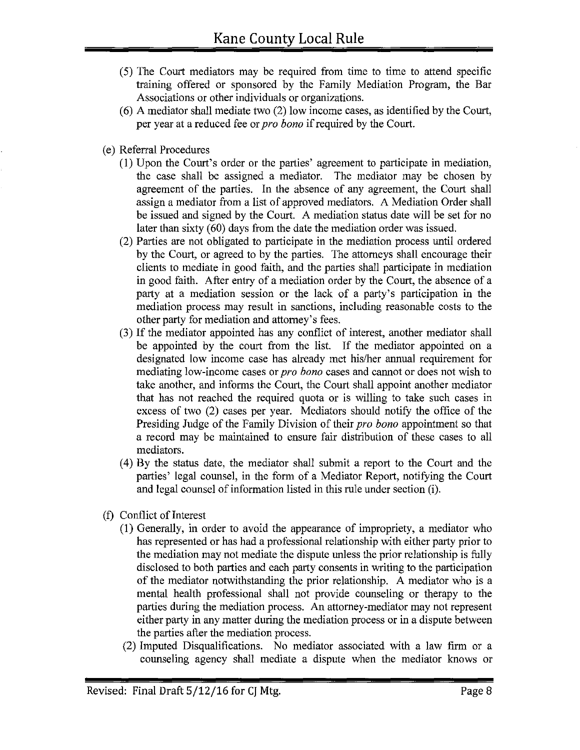- ( 5) The Court mediators may be required from time to time to attend specific training offered or sponsored by the Family Mediation Program, the Bar Associations or other individuals or organizations.
- (6) A mediator shall mediate two (2) low income cases, as identified by the Court, per year at a reduced fee or *pro bona* if required by the Court.
- (e) Referral Procedures
	- (I) Upon the Court's order or the parties' agreement to participate in mediation, the case shall be assigned a mediator. The mediator may be chosen by agreement of the parties. In the absence of any agreement, the Court shall assign a mediator from a list of approved mediators. A Mediation Order shall be issued and signed by the Court. A mediation status date will be set for no later than sixty (60) days from the date the mediation order was issued.
	- (2) Parties are not obligated to participate in the mediation process until ordered by the Court, or agreed to by the parties. The attorneys shall encourage their clients to mediate in good faith, and the parties shall participate in mediation in good faith. After entry of a mediation order by the Court, the absence of a party at a mediation session or the lack of a party's participation in the mediation process may result in sanctions, including reasonable costs to the other party for mediation and attorney's fees.
	- (3) If the mediator appointed has any conflict of interest, another mediator shall be appointed by the court from the list. If the mediator appointed on a designated low income case has already met his/her annual requirement for mediating low-income cases or *pro bona* cases and cannot or does not wish to take another, and informs the Court, the Court shall appoint another mediator that has not reached the required quota or is willing to take such cases in excess of two (2) cases per year. Mediators should notify the office of the Presiding Judge of the Family Division of their *pro bona* appointment so that a record may be maintained to ensure fair distribution of these cases to all mediators.
	- (4) By the status date, the mediator shall submit a report to the Court and the parties' legal counsel, in the form of a Mediator Report, notifying the Court and legal counsel of information listed in this rule under section (i).
- (f) Conflict of Interest
	- (1) Generally, in order to avoid the appearance of impropriety, a mediator who has represented or has had a professional relationship with either party prior to the mediation may not mediate the dispute unless the prior relationship is fully disclosed to both parties and each party consents in writing to the participation of the mediator notwithstanding the prior relationship. A mediator who is a mental health professional shall not provide counseling or therapy to the parties during the mediation process. An attorney-mediator may not represent either party in any matter during the mediation process or in a dispute between the parties after the mediation process.
	- (2) Imputed Disqualifications. No mediator associated with a law firm or a counseling agency shall mediate a dispute when the mediator knows or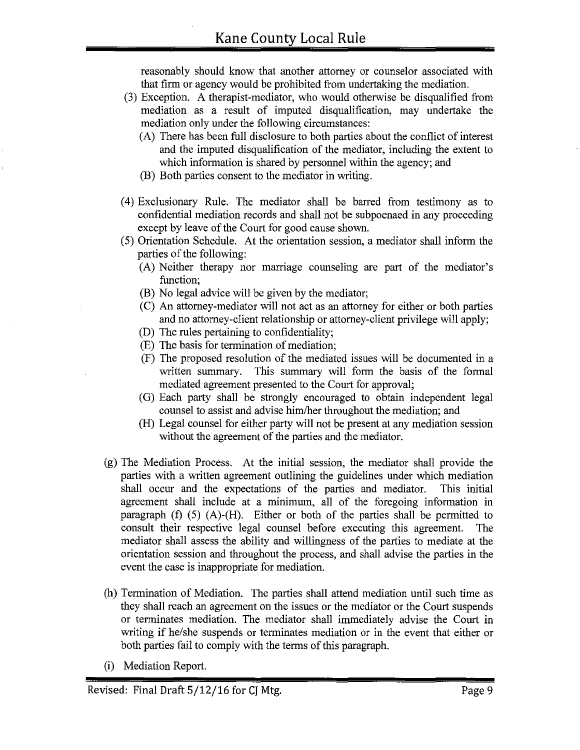reasonably should know that another attorney or counselor associated with that firm or agency would be prohibited from undertaking the mediation.

- (3) Exception. A therapist-mediator, who would otherwise be disqualified from mediation as a result of imputed disqualification, may undertake the mediation only under the following circumstances:
	- (A) There has been full disclosure to both parties about the conflict of interest and the imputed disqualification of the mediator, including the extent to which information is shared by personnel within the agency; and
	- (B) Both parties consent to the mediator in writing.
- ( 4) Exclusionary Rule. The mediator shall be barred from testimony as to confidential mediation records and shall not be subpoenaed in any proceeding except by leave of the Court for good cause shown.
- ( 5) Orientation Schedule. At the orientation session, a mediator shall inform the parties of the following:
	- (A) Neither therapy nor marriage counseling are part of the mediator's function;
	- (B) No legal advice will be given by the mediator;
	- (C) An attorney-mediator will not act as an attorney for either or both parties and no attorney-client relationship or attorney-client privilege will apply;
	- (D) The rules pertaining to confidentiality;
	- (E) The basis for termination of mediation;
	- (F) The proposed resolution of the mediated issues will be documented in a written summary. This sunnnary will form the basis of the formal mediated agreement presented to the Court for approval;
	- (G) Each party shall be strongly encouraged to obtain independent legal counsel to assist and advise him/her throughout the mediation; and
	- (H) Legal counsel for either party will not be present at any mediation session without the agreement of the parties and the mediator.
- (g) The Mediation Process. At the initial session, the mediator shall provide the parties with a written agreement outlining the guidelines under which mediation shall occur and the expectations of the parties and mediator. This initial agreement shall include at a minimum, all of the foregoing information in paragraph (f) (5) (A)-(H). Either or both of the parties shall be permitted to consult their respective legal counsel before executing this agreement. The mediator shall assess the ability and willingness of the parties to mediate at the orientation session and throughout the process, and shall advise the parties in the event the case is inappropriate for mediation.
- (h) Termination of Mediation. The parties shall attend mediation until such time as they shall reach an agreement on the issues or the mediator or the Court suspends or terminates mediation. The mediator shall immediately advise the Court in writing if he/she suspends or terminates mediation or in the event that either or both parties fail to comply with the terms of this paragraph.
- (i) Mediation Report.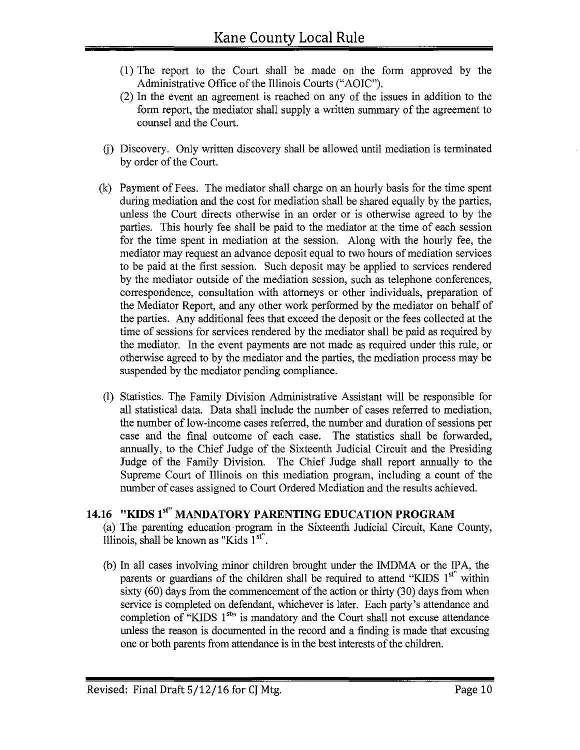- (1) The report to the Court shall be made on the form approved by the Administrative Office of the Illinois Courts ("AOIC").
- (2) In the event an agreement is reached on any of the issues in addition to the form report, the mediator shall supply a written summary of the agreement to counsel and the Court.
- G) Discovery. Only written discovery shall be allowed until mediation is terminated by order of the Court.
- (k) Payment of Fees. The mediator shall charge on an hourly basis for the time spent during mediation and the cost for mediation shall be shared equally by the parties, unless the Court directs otherwise in an order or is otherwise agreed to by the parties. This hourly fee shall be paid to the mediator at the time of each session for the time spent in mediation at the session. Along with the hourly fee, the mediator may request an advance deposit equal to two hours of mediation services to be paid at the first session. Such deposit may be applied to services rendered by the mediator outside of the mediation session, such as telephone conferences, correspondence, consultation with attorneys or other individuals, preparation of the Mediator Report, and any other work performed by the mediator on behalf of the parties. Any additional fees that exceed the deposit or the fees collected at the time of sessions for services rendered by the mediator shall be paid as required by the mediator. In the event payments are not made as required under this rule, or otherwise agreed to by the mediator and the parties, the mediation process may be suspended by the mediator pending compliance.
- (1) Statistics. The Family Division Administrative Assistant will be responsible for all statistical data. Data shall include the number of cases referred to mediation, the number of low-income cases referred, the number and duration of sessions per case and the final outcome of each case. The statistics shall be forwarded, annually, to the Chief Judge of the Sixteenth Judicial Circuit and the Presiding Judge of the Family Division. The Chief Judge shall report annually to the Supreme Court of Illinois on this mediation program, including a count of the number of cases assigned to Court Ordered Mediation and the results achieved.

# **14.16 "KIDS 1•<sup>1</sup> " MANDATORY PARENTING EDUCATION PROGRAM**

(a) The parenting education program in the Sixteenth Judicial Circuit, Kane County, Illinois, shall be known as "Kids  $1<sup>st</sup>$ ".

(b) In all cases involving minor children brought under the IMDMA or the IPA, the parents or guardians of the children shall be required to attend "KIDS  $1<sup>st</sup>$ " within sixty (60) days from the commencement of the action or thirty (30) days from when service is completed on defendant, whichever is later. Each party's attendance and completion of "KIDS  $1^{st}$ " is mandatory and the Court shall not excuse attendance unless the reason is documented in the record and a finding is made that excusing one or both parents from attendance is in the best interests of the children.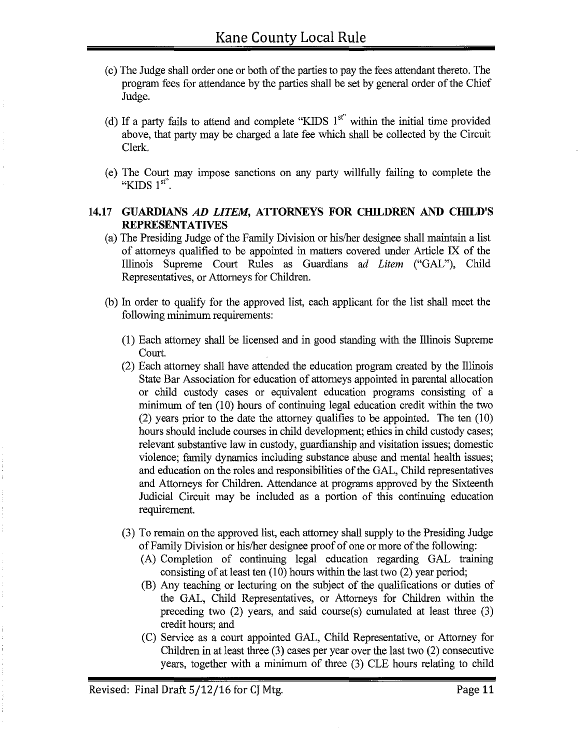- (c) The Judge shall order one or both of the parties to pay the fees attendant thereto. The program fees for attendance by the parties shall be set by general order of the Chief Judge.
- (d) If a party fails to attend and complete "KIDS  $1<sup>st</sup>$ " within the initial time provided above, that party may be charged a late fee which shall be collected by the Circuit Clerk.
- ( e) The Court may impose sanctions on any party willfully failing to complete the "KIDS  $1<sup>st</sup>$ .

#### **14.17 GUARDIANS** *AD LITEM,* **ATTORNEYS FOR CHILDREN AND CHILD'S REPRESENTATIVES**

- (a) The Presiding Judge of the Family Division or his/her designee shall maintain a list of attorneys qualified to be appointed in matters covered under Article IX of the Illinois Supreme Court Rules as Guardians *ad Litem* ("GAL"), Child Representatives, or Attorneys for Children.
- (b) In order to qualify for the approved list, each applicant for the list shall meet the following minimum requirements:
	- (1) Each attorney shall be licensed and in good standing with the Illinois Supreme Court.
	- (2) Each attorney shall have attended the education program created by the Illinois State Bar Association for education of attorneys appointed in parental allocation or child custody cases or equivalent education programs consisting of a minimum of ten (10) hours of continuing legal education credit within the two (2) years prior to the date the attorney qualifies to be appointed. The ten (10) hours should include courses in child development; ethics in child custody cases; relevant substantive law in custody, guardianship and visitation issues; domestic violence; family dynamics including substance abuse and mental health issues; and education on the roles and responsibilities of the GAL, Child representatives and Attorneys for Children. Attendance at programs approved by the Sixteenth Judicial Circuit may be included as a portion of this continuing education requirement.
	- (3) To remain on the approved list, each attorney shall supply to the Presiding Judge of Family Division or his/her designee proof of one or more of the following:
		- (A) Completion of continuing legal education regarding GAL training consisting of at least ten (10) hours within the last two (2) year period;
		- (B) Any teaching or lecturing on the subject of the qualifications or duties of the GAL, Child Representatives, or Attorneys for Children within the preceding two  $(2)$  years, and said course $(s)$  cumulated at least three  $(3)$ credit hours; and
		- (C) Service as a court appointed GAL, Child Representative, or Attorney for Children in at least three (3) cases per year over the last two (2) consecutive years, together with a minimum of three (3) CLE hours relating to child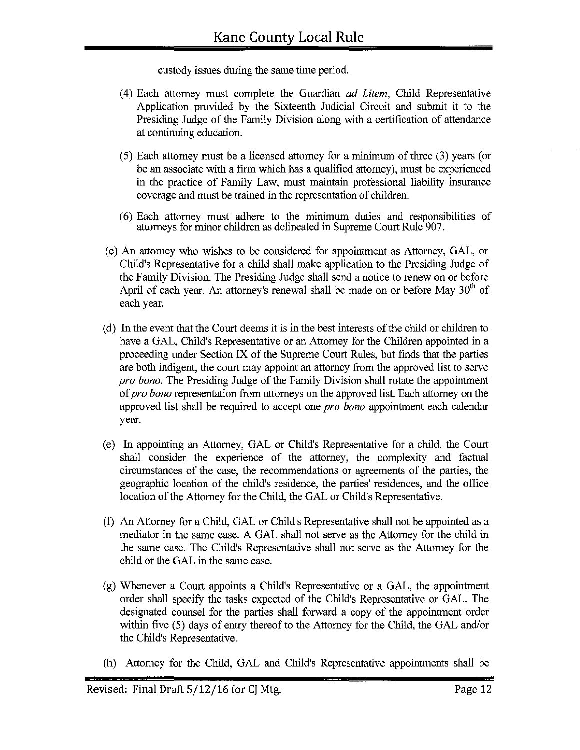custody issues during the same time period.

- ( 4) Each attorney must complete the Guardian *ad Litem,* Child Representative Application provided by the Sixteenth Judicial Circuit and submit it to the Presiding Judge of the Family Division along with a certification of attendance at continuing education.
- (5) Each attorney must be a licensed attorney for a minimum of three (3) years (or be an associate with a firm which has a qualified attorney), must be experienced in the practice of Family Law, must maintain professional liability insurance coverage and must be trained in the representation of children.
- ( 6) Each attorney must adhere to the minimum duties and responsibilities of attorneys for minor children as delineated in Supreme Court Rule 907.
- ( c) An attorney who wishes to be considered for appointment as Attorney, GAL, or Child's Representative for a child shall make application to the Presiding Judge of the Family Division. The Presiding Judge shall send a notice to renew on or before April of each year. An attorney's renewal shall be made on or before May  $30<sup>th</sup>$  of each year.
- ( d) In the event that the Court deems it is in the best interests of the child or children to have a GAL, Child's Representative or an Attorney for the Children appointed in a proceeding under Section IX of the Supreme Court Rules, but fmds that the parties are both indigent, the court may appoint an attorney from the approved list to serve *pro bona.* The Presiding Judge of the Family Division shall rotate the appointment of *pro bona* representation from attorneys on the approved list. Each attorney on the approved list shall be required to accept one *pro bona* appointment each calendar year.
- (e) In appointing an Attorney, GAL or Child's Representative for a child, the Court shall consider the experience of the attorney, the complexity and factual circumstances of the case, the recommendations or agreements of the parties, the geographic location of the child's residence, the parties' residences, and the office location of the Attorney for the Child, the GAL or Child's Representative.
- (f) An Attorney for a Child, GAL or Child's Representative shall not be appointed as a mediator in the same case. A GAL shall not serve as the Attorney for the child in the same case. The Child's Representative shall not serve as the Attorney for the child or the GAL in the same case.
- (g) Whenever a Court appoints a Child's Representative or a GAL, the appointment order shall specify the tasks expected of the Child's Representative or GAL. The designated counsel for the parties shall forward a copy of the appointment order within five (5) days of entry thereof to the Attorney for the Child, the GAL and/or the Child's Representative.
- (h) Attorney for the Child, GAL and Child's Representative appointments shall be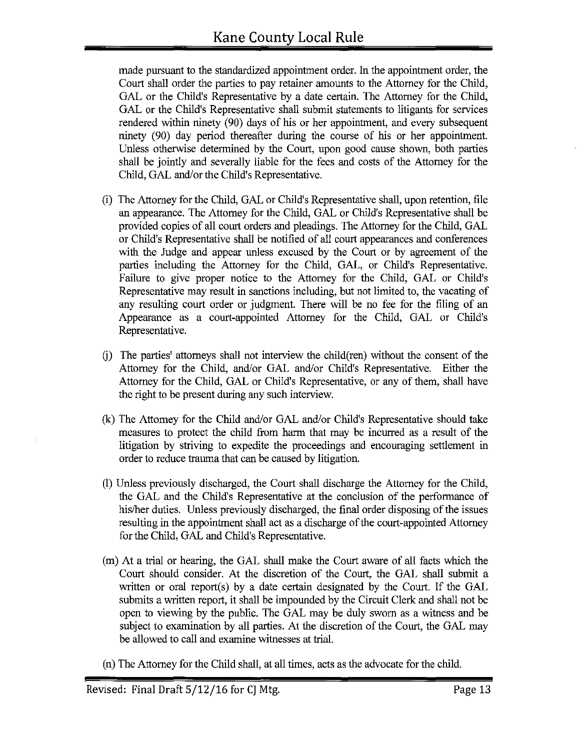made pursuant to the standardized appointment order. In the appointment order, the Court shall order the parties to pay retainer amounts to the Attorney for the Child, GAL or the Child's Representative by a date certain. The Attorney for the Child, GAL or the Child's Representative shall submit statements to litigants for services rendered within ninety (90) days of his or her appointment, and every subsequent ninety (90) day period thereafter during the course of his or her appointment. Unless otherwise determined by the Court, upon good cause shown, both parties shall be jointly and severally liable for the fees and costs of the Attorney for the Child, GAL and/or the Child's Representative.

- (i) The Attorney for the Child, GAL or Child's Representative shall, upon retention, file an appearance. The Attorney for the Child, GAL or Child's Representative shall be provided copies of all court orders and pleadings. The Attorney for the Child, GAL or Child's Representative shall be notified of all court appearances and conferences with the Judge and appear unless excused by the Court or by agreement of the parties including the Attorney for the Child, GAL, or Child's Representative. Failure to give proper notice to the Attorney for the Child, GAL or Child's Representative may result in sanctions including, but not limited to, the vacating of any resulting court order or judgment. There will be no fee for the filing of an Appearance as a court-appointed Attorney for the Child, GAL or Child's Representative.
- G) The parties' attorneys shall not interview the child(ren) without the consent of the Attorney for the Child, and/or GAL and/or Child's Representative. Either the Attorney for the Child, GAL or Child's Representative, or any of them, shall have the right to be present during any such interview.
- (k) The Attorney for the Child and/or GAL and/or Child's Representative should take measures to protect the child from harm that may be incurred as a result of the litigation by striving to expedite the proceedings and encouraging settlement in order to reduce trauma that can be caused by litigation.
- (!) Unless previously discharged, the Court shall discharge the Attorney for the Child, the GAL and the Child's Representative at the conclusion of the performance of his/her duties. Unless previously discharged, the final order disposing of the issues resulting in the appointment shall act as a discharge of the court-appointed Attorney for the Child, GAL and Child's Representative.
- (m) At a trial or hearing, the GAL shall make the Court aware of all facts which the Court should consider. At the discretion of the Court, the GAL shall submit a written or oral report(s) by a date certain designated by the Court. If the GAL submits a written report, it shall be impounded by the Circuit Clerk and shall not be open to viewing by the public. The GAL may be duly sworn as a witness and be subject to examination by all parties. At the discretion of the Court, the GAL may be allowed to call and examine witnesses at trial.
- (n) The Attorney for the Child shall, at all times, acts as the advocate for the child.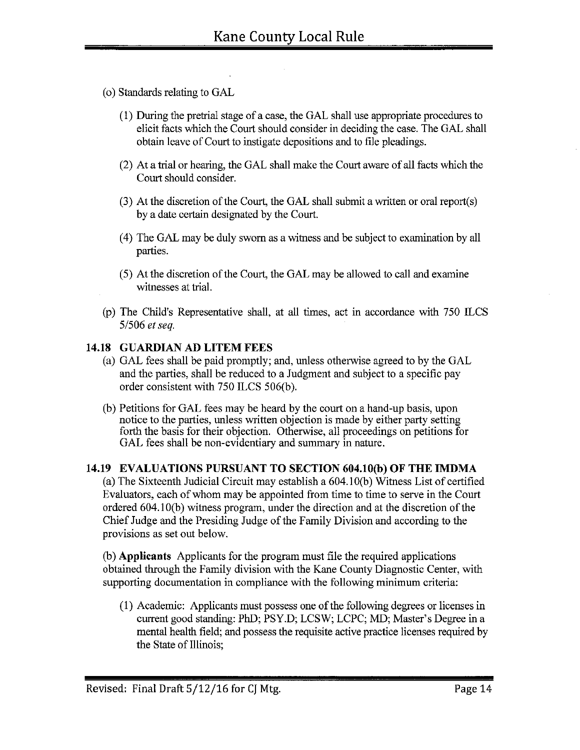- ( o) Standards relating to GAL
	- (1) During the pretrial stage of a case, the GAL shall use appropriate procedures to elicit facts which the Court should consider in deciding the case. The GAL shall obtain leave of Court to instigate depositions and to file pleadings.
	- (2) At a trial or hearing, the GAL shall make the Court aware of all facts which the Court should consider.
	- (3) At the discretion of the Court, the GAL shall submit a written or oral report(s) by a date certain designated by the Court.
	- ( 4) The GAL may be duly sworn as a witness and be subject to examination by all parties.
	- (5) At the discretion of the Court, the GAL may be allowed to call and examine witnesses at trial.
- (p) The Child's Representative shall, at all times, act in accordance with 750 ILCS *51506 et seq.*

### **14.18 GUARDIAN AD LITEM FEES**

- (a) GAL fees shall be paid promptly; and, unless otherwise agreed to by the GAL and the parties, shall be reduced to a Judgment and subject to a specific pay order consistent with 750 ILCS 506(b).
- (b) Petitions for GAL fees may be heard by the court on a hand-up basis, upon notice to the parties, unless written objection is made by either party setting forth the basis for their objection. Otherwise, all proceedings on petitions for GAL fees shall be non-evidentiary and summary in nature.

### **14.19 EVALUATIONS PURSUANT TO SECTION 604.lO(b) OF THE IMDMA**

(a) The Sixteenth Judicial Circuit may establish a 604.1 O(b) Witness List of certified Evaluators, each of whom may be appointed from time to time to serve in the Court ordered 604.IO(b) witness program, under the direction and at the discretion of the Chief Judge and the Presiding Judge of the Family Division and according to the provisions as set out below.

(b) **Applicants** Applicants for the program must file the required applications obtained through the Family division with the Kane County Diagnostic Center, with supporting documentation in compliance with the following minimum criteria:

(I) Academic: Applicants must possess one of the following degrees or licenses in current good standing: PhD; PSY.D; LCSW; LCPC; MD; Master's Degree in a mental health field; and possess the requisite active practice licenses required by the State of Illinois;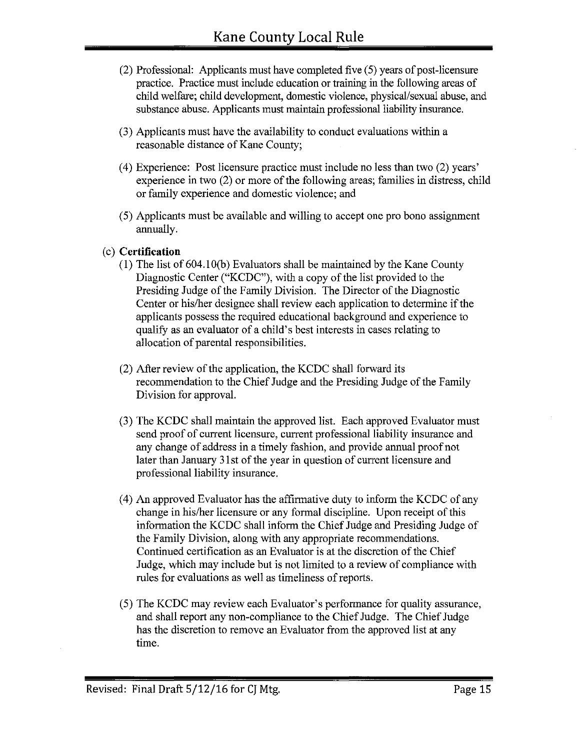- (2) Professional: Applicants must have completed five (5) years of post-licensure practice. Practice must include education or training in the following areas of child welfare; child development, domestic violence, physical/sexual abuse, and substance abuse. Applicants must maintain professional liability insurance.
- (3) Applicants must have the availability to conduct evaluations within a reasonable distance of Kane County;
- (4) Experience: Post licensure practice must include no less than two (2) years' experience in two (2) or more of the following areas; families in distress, child or family experience and domestic violence; and
- ( 5) Applicants must be available and willing to accept one pro bono assigrnnent annually.
- (c) **Certification** 
	- (I) The list of 604. IO(b) Evaluators shall be maintained by the Kane County Diagnostic Center ("KCDC"), with a copy of the list provided to the Presiding Judge of the Family Division. The Director of the Diagnostic Center or his/her designee shall review each application to determine if the applicants possess the required educational background and experience to qualify as an evaluator of a child's best interests in cases relating to allocation of parental responsibilities.
	- (2) After review of the application, the KCDC shall forward its recommendation to the Chief Judge and the Presiding Judge of the Family Division for approval.
	- (3) The KCDC shall maintain the approved list. Each approved Evaluator must send proof of current licensure, current professional liability insurance and any change of address in a timely fashion, and provide annual proof not later than January 31st of the year in question of current licensure and professional liability insurance.
	- (4) An approved Evaluator has the affirmative duty to inform the KCDC of any change in his/her licensure or any formal discipline. Upon receipt of this information the KCDC shall inform the Chief Judge and Presiding Judge of the Family Division, along with any appropriate recommendations. Continued certification as an Evaluator is at the discretion of the Chief Judge, which may include but is not limited to a review of compliance with rules for evaluations as well as timeliness of reports.
	- (5) The KCDC may review each Evaluator's performance for quality assurance, and shall report any non-compliance to the Chief Judge. The Chief Judge has the discretion to remove an Evaluator from the approved list at any time.